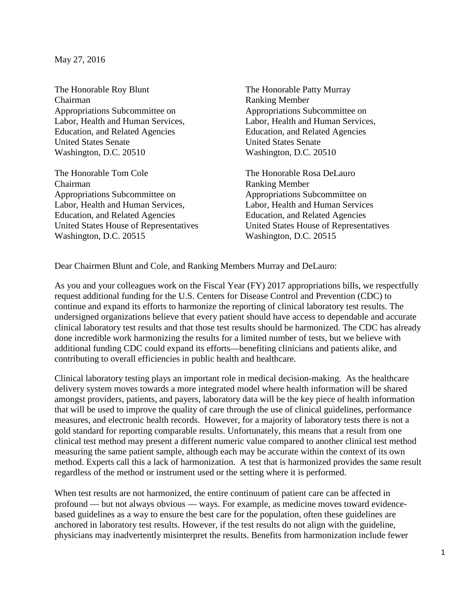May 27, 2016

The Honorable Roy Blunt The Honorable Patty Murray Chairman Ranking Member Appropriations Subcommittee on Appropriations Subcommittee on Labor, Health and Human Services, Labor, Health and Human Services, Education, and Related Agencies Education, and Related Agencies United States Senate United States Senate Washington, D.C. 20510 Washington, D.C. 20510

The Honorable Tom Cole The Honorable Rosa DeLauro Chairman Ranking Member Appropriations Subcommittee on Appropriations Subcommittee on Labor, Health and Human Services, Labor, Health and Human Services Education, and Related Agencies Education, and Related Agencies

United States House of Representatives<br>
Washington, D.C. 20515<br>
Washington, D.C. 20515 Washington, D.C. 20515

Dear Chairmen Blunt and Cole, and Ranking Members Murray and DeLauro:

As you and your colleagues work on the Fiscal Year (FY) 2017 appropriations bills, we respectfully request additional funding for the U.S. Centers for Disease Control and Prevention (CDC) to continue and expand its efforts to harmonize the reporting of clinical laboratory test results. The undersigned organizations believe that every patient should have access to dependable and accurate clinical laboratory test results and that those test results should be harmonized. The CDC has already done incredible work harmonizing the results for a limited number of tests, but we believe with additional funding CDC could expand its efforts—benefiting clinicians and patients alike, and contributing to overall efficiencies in public health and healthcare.

Clinical laboratory testing plays an important role in medical decision-making. As the healthcare delivery system moves towards a more integrated model where health information will be shared amongst providers, patients, and payers, laboratory data will be the key piece of health information that will be used to improve the quality of care through the use of clinical guidelines, performance measures, and electronic health records. However, for a majority of laboratory tests there is not a gold standard for reporting comparable results. Unfortunately, this means that a result from one clinical test method may present a different numeric value compared to another clinical test method measuring the same patient sample, although each may be accurate within the context of its own method. Experts call this a lack of harmonization. A test that is harmonized provides the same result regardless of the method or instrument used or the setting where it is performed.

When test results are not harmonized, the entire continuum of patient care can be affected in profound — but not always obvious — ways. For example, as medicine moves toward evidencebased guidelines as a way to ensure the best care for the population, often these guidelines are anchored in laboratory test results. However, if the test results do not align with the guideline, physicians may inadvertently misinterpret the results. Benefits from harmonization include fewer